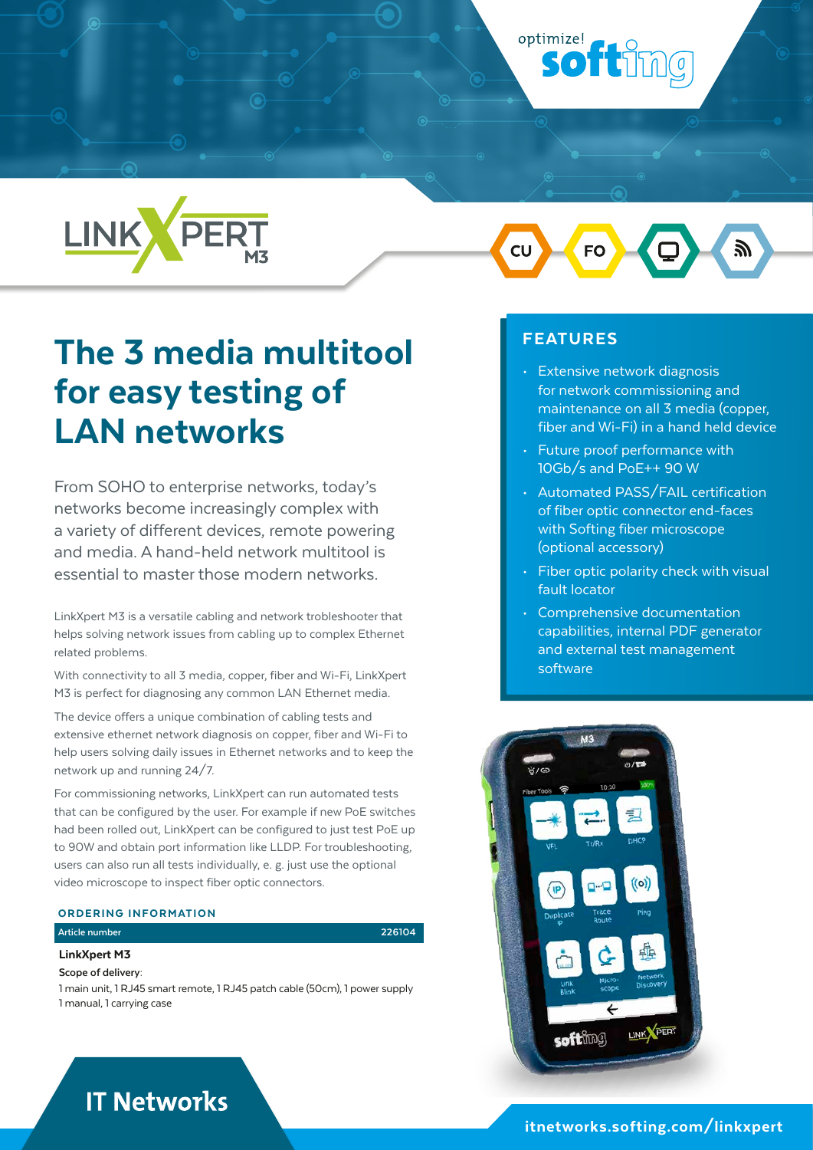# optimize! **softimg**



# The 3 media multitool for easy testing of LAN networks

From SOHO to enterprise networks, today's networks become increasingly complex with a variety of different devices, remote powering and media. A hand-held network multitool is essential to master those modern networks.

LinkXpert M3 is a versatile cabling and network trobleshooter that helps solving network issues from cabling up to complex Ethernet related problems.

With connectivity to all 3 media, copper, fiber and Wi-Fi, LinkXpert M3 is perfect for diagnosing any common LAN Ethernet media.

The device offers a unique combination of cabling tests and extensive ethernet network diagnosis on copper, fiber and Wi-Fi to help users solving daily issues in Ethernet networks and to keep the network up and running 24/7.

For commissioning networks, LinkXpert can run automated tests that can be configured by the user. For example if new PoE switches had been rolled out, LinkXpert can be configured to just test PoE up to 90W and obtain port information like LLDP. For troubleshooting, users can also run all tests individually, e. g. just use the optional video microscope to inspect fiber optic connectors.

#### ORDERING INFORMATION

## **Article number 226104**

LinkXpert M3

**Scope of delivery:**

1 main unit, 1 RJ45 smart remote, 1 RJ45 patch cable (50cm), 1 power supply 1 manual, 1 carrying case

 $\overline{\text{c}}$ 

# FEATURES

- Extensive network diagnosis for network commissioning and maintenance on all 3 media (copper, fiber and Wi-Fi) in a hand held device
- Future proof performance with 10Gb/s and PoE++ 90 W
- Automated PASS/FAIL certification of fiber optic connector end-faces with Softing fiber microscope (optional accessory)
- Fiber optic polarity check with visual fault locator
- Comprehensive documentation capabilities, internal PDF generator and external test management software



# **IT Networks**